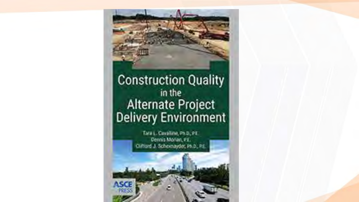### **Construction Quality** in the Alternate Project<br>Delivery Environment

Tara L. Cavalline, Ph.D., PT. Denis Morin, P.E. Oifford J. Scheenzyder, Ph.D., PE.

**ASCE**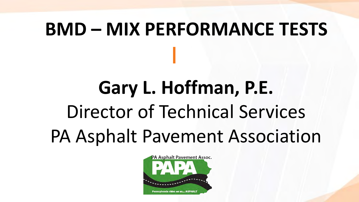# **BMD – MIX PERFORMANCE TESTS**

# **Gary L. Hoffman, P.E.** Director of Technical Services PA Asphalt Pavement Association

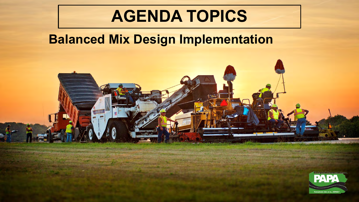### **AGENDA TOPICS**

#### **Balanced Mix Design Implementation**

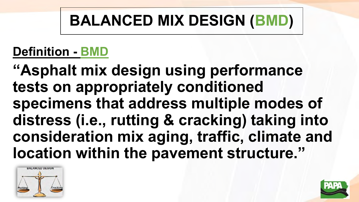#### **Definition - BMD**

**"Asphalt mix design using performance tests on appropriately conditioned specimens that address multiple modes of distress (i.e., rutting & cracking) taking into consideration mix aging, traffic, climate and location within the pavement structure."**



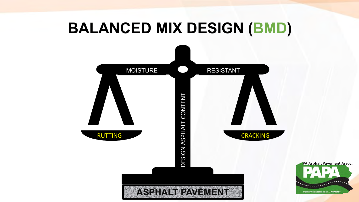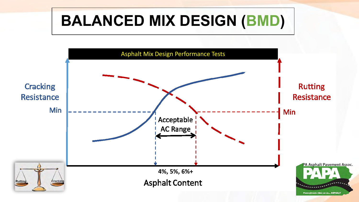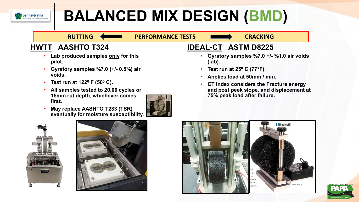

#### RUTTING **SECURE PERFORMANCE TESTS CRACKING**

#### **HWTT AASHTO T324**

- **Lab produced samples only for this pilot.**
- **Gyratory samples %7.0 (+/- 0.5%) air voids.**
- **Test run at 122<sup>0</sup> F (50<sup>0</sup> C).**
- **All samples tested to 20,00 cycles or 15mm rut depth, whichever comes first.**



• **May replace AASHTO T283 (TSR) eventually for moisture susceptibility.**

#### **IDEAL-CT ASTM D8225**

- **Gyratory samples %7.0 +/- %1.0 air voids (lab).**
- **Test run at 25<sup>0</sup> C (77°F).**
- **Applies load at 50mm / min.**
- **CT Index considers the Fracture energy, and post peek slope, and displacement at 75% peak load after failure.**







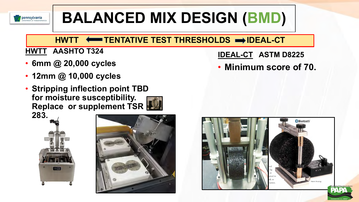

#### **HWTT**  $\longleftarrow$  **TENTATIVE TEST THRESHOLDS**  $\rightarrow$  **IDEAL-CT**

#### **HWTT AASHTO T324**

- **6mm @ 20,000 cycles**
- **12mm @ 10,000 cycles**
- **Stripping inflection point TBD for moisture susceptibility. Replace or supplement TSR 283.**





**IDEAL-CT ASTM D8225**

• **Minimum score of 70.**

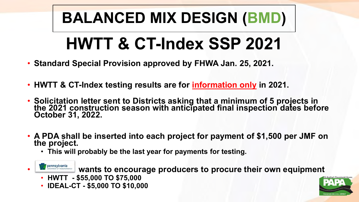# **HWTT & CT-Index SSP 2021**

- **Standard Special Provision approved by FHWA Jan. 25, 2021.**
- **HWTT & CT-Index testing results are for information only in 2021.**
- **Solicitation letter sent to Districts asking that a minimum of 5 projects in the 2021 construction season with anticipated final inspection dates before October 31, 2022.**
- **A PDA shall be inserted into each project for payment of \$1,500 per JMF on the project.** 
	- **This will probably be the last year for payments for testing.**



**Pennsylvania** wants to encourage producers to procure their own equipment

- **HWTT - \$55,000 TO \$75,000**
- **IDEAL-CT - \$5,000 TO \$10,000**

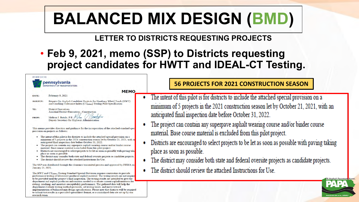#### **LETTER TO DISTRICTS REQUESTING PROJECTS**

#### • **Feb 9, 2021, memo (SSP) to Districts requesting project candidates for HWTT and IDEAL-CT Testing.**

|                 | pennsylvania<br>DEPARTMENT OF TRANSPORTATION                                                                                                             |
|-----------------|----------------------------------------------------------------------------------------------------------------------------------------------------------|
|                 | <b>MEMO</b>                                                                                                                                              |
| DATE:           | February 9, 2021                                                                                                                                         |
| <b>SUBJECT:</b> | Request for Asphalt Candidate Projects for Hamburg Wheel Track (HWT)<br>and Cracking Tolerance Index (CT <sub>(Index</sub> ) Testing Pilot Specification |
| TO:             | <b>District Executives</b>                                                                                                                               |
|                 | <b>Assistant District Executives - Construction</b>                                                                                                      |
| <b>FROM:</b>    | Melissa J. Batula, P.E. /                                                                                                                                |
|                 | Deputy Secretary for Highway Administration                                                                                                              |

This memo provides direction and guidance for the incorporation of the attached standard spec provision on projects as follows:

- The intent of this pilot is for districts to include the attached special provision on a minimum of 5 projects in the 2021 construction season let by October 21, 2021, with an anticipated final inspection date before October 31, 2022.
- The project can contain any superpave asphalt wearing course and/or binder course material. Base course material is excluded from this pilot project.
- Districts are encouraged to select projects to be let as soon as possible with paying takin place as soon as possible.
- · The district may consider both state and federal oversite projects as candidate projects.
- The district should review the attached Instructions for Use.

The SSP was distributed through the clearance transmittal process and approved by FHWA on January 25, 2021.

The HWT and CT<sub>(Index</sub>) Testing Standard Special Provision requires contractors to provide performance testing of laboratory produced asphalt material. The testing results are not require to be provided until the project's final inspection. The testing results are intended to give the department and asphalt producers information needed to evaluate current asphalt mixtures for rutting, cracking, and moisture susceptibility performance. The gathered data will help the department evaluate testing method protocols, set testing limits, and move toward implementation of balanced mix design specifications. Please note that districts will be required to submit test results in a provided spreadsheet format, or a centralized data site set up by our research team

#### **56 PROJECTS FOR 2021 CONSTRUCTION SEASON**

- The intent of this pilot is for districts to include the attached special provision on a minimum of 5 projects in the 2021 construction season let by October 21, 2021, with an anticipated final inspection date before October 31, 2022.
- The project can contain any superpave asphalt wearing course and/or binder course material. Base course material is excluded from this pilot project.
- Districts are encouraged to select projects to be let as soon as possible with paying taking place as soon as possible.
- The district may consider both state and federal oversite projects as candidate projects.
- The district should review the attached Instructions for Use.

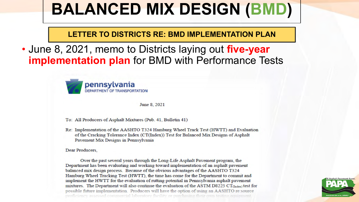**LETTER TO DISTRICTS RE: BMD IMPLEMENTATION PLAN**

• June 8, 2021, memo to Districts laying out **five-year implementation plan** for BMD with Performance Tests



June 8, 2021

- To: All Producers of Asphalt Mixtures (Pub. 41, Bulletin 41)
- Re: Implementation of the AASHTO T324 Hamburg Wheel Track Test (HWTT) and Evaluation of the Cracking Tolerance Index (CT(Index)) Test for Balanced Mix Designs of Asphalt Pavement Mix Designs in Pennsylvania

Dear Producers,

Over the past several years through the Long-Life Asphalt Pavement program, the Department has been evaluating and working toward implementation of an asphalt pavement balanced mix design process. Because of the obvious advantages of the AASHTO T324 Hamburg Wheel Tracking Test (HWTT), the time has come for the Department to commit and implement the HWTT for the evaluation of rutting potential in Pennsylvania asphalt pavement mixtures. The Department will also continue the evaluation of the ASTM D8225  $CT_{(Index)}$  test for possible future implementation. Producers will have the option of using an AASHTO re:source

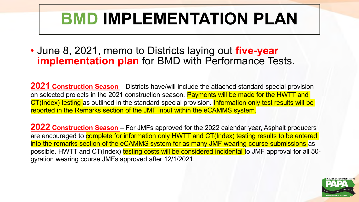# **BMD IMPLEMENTATION PLAN**

• June 8, 2021, memo to Districts laying out **five-year implementation plan** for BMD with Performance Tests.

**2021 Construction Season** – Districts have/will include the attached standard special provision on selected projects in the 2021 construction season. Payments will be made for the HWTT and CT(Index) testing as outlined in the standard special provision. Information only test results will be reported in the Remarks section of the JMF input within the eCAMMS system.

**2022 Construction Season** – For JMFs approved for the 2022 calendar year, Asphalt producers are encouraged to **complete for information only HWTT and CT(Index) testing results to be entered** into the remarks section of the eCAMMS system for as many JMF wearing course submissions as possible. HWTT and CT(Index) testing costs will be considered incidental to JMF approval for all 50gyration wearing course JMFs approved after 12/1/2021.

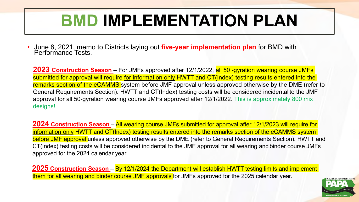### **BMD IMPLEMENTATION PLAN**

• June 8, 2021, memo to Districts laying out **five-year implementation plan** for BMD with Performance Tests.

**2023 Construction Season** – For JMFs approved after 12/1/2022, all 50 -gyration wearing course JMFs submitted for approval will require for information only HWTT and CT(Index) testing results entered into the remarks section of the eCAMMS system before JMF approval unless approved otherwise by the DME (refer to General Requirements Section). HWTT and CT(Index) testing costs will be considered incidental to the JMF approval for all 50-gyration wearing course JMFs approved after 12/1/2022. This is approximately 800 mix designs!

**2024 Construction Season** – All wearing course JMFs submitted for approval after 12/1/2023 will require for information only HWTT and CT(Index) testing results entered into the remarks section of the eCAMMS system before JMF approval unless approved otherwise by the DME (refer to General Requirements Section). HWTT and CT(Index) testing costs will be considered incidental to the JMF approval for all wearing and binder course JMFs approved for the 2024 calendar year.

**2025 Construction Season** – By 12/1/2024 the Department will establish HWTT testing limits and implement them for all wearing and binder course JMF approvals for JMFs approved for the 2025 calendar year.

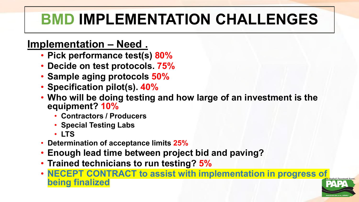### **BMD IMPLEMENTATION CHALLENGES**

#### **Implementation – Need .**

- **Pick performance test(s) 80%**
- **Decide on test protocols. 75%**
- **Sample aging protocols 50%**
- **Specification pilot(s). 40%**
- **Who will be doing testing and how large of an investment is the equipment? 10%**
	- **Contractors / Producers**
	- **Special Testing Labs**
	- **LTS**
- **Determination of acceptance limits 25%**
- **Enough lead time between project bid and paving?**
- **Trained technicians to run testing? 5%**
- **NECEPT CONTRACT to assist with implementation in progress of being finalized**